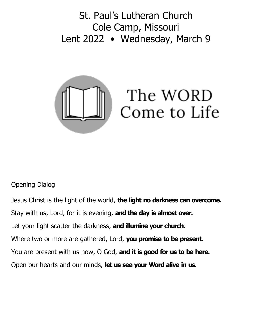St. Paul's Lutheran Church Cole Camp, Missouri Lent 2022 • Wednesday, March 9



# Opening Dialog

Jesus Christ is the light of the world, **the light no darkness can overcome.** Stay with us, Lord, for it is evening, **and the day is almost over.** Let your light scatter the darkness, **and illumine your church.** Where two or more are gathered, Lord, **you promise to be present.** You are present with us now, O God, **and it is good for us to be here.** Open our hearts and our minds, **let us see your Word alive in us.**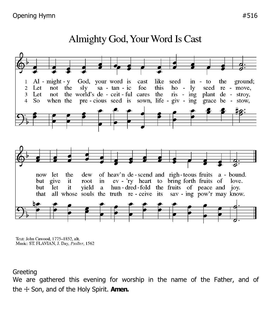#### God, your word is like  $Al - might - y$ cast seed  $in - to$ the ground; 1  $sa - tan - ic$ not the foe this  $ho$ seed re - move,  $\overline{2}$ Let sly  $1y$ the world's de - ceit - ful cares the plant de - stroy, Let  $ris - ing$ 3 not pre-cious seed is sown, life - giv - ing when the grace be - stow,  $\overline{\mathcal{L}}$  $So$ of heav'n de-scend and righ-teous fruits a - bound. now let the dew ev - 'ry heart to bring forth fruits of love. but give it root in hun-dred-fold the fruits of peace and joy. yield but **let** it a all whose souls the truth re-ceive its sav-ing pow'r may know. that

Almighty God, Your Word Is Cast

Text: John Cawood, 1775-1852, alt. Music: ST. FLAVIAN, J. Day, Psalter, 1562

#### **Greeting**

We are gathered this evening for worship in the name of the Father, and of the ☩ Son, and of the Holy Spirit. **Amen.**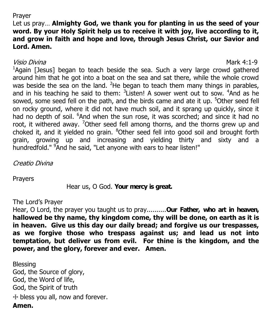### Prayer

## Let us pray… **Almighty God, we thank you for planting in us the seed of your word. By your Holy Spirit help us to receive it with joy, live according to it, and grow in faith and hope and love, through Jesus Christ, our Savior and Lord. Amen.**

## Visio Divina Mark 4:1-9

<sup>1</sup>Again [Jesus] began to teach beside the sea. Such a very large crowd gathered around him that he got into a boat on the sea and sat there, while the whole crowd was beside the sea on the land. <sup>2</sup>He began to teach them many things in parables, and in his teaching he said to them:  $3$ Listen! A sower went out to sow.  $4$ And as he sowed, some seed fell on the path, and the birds came and ate it up. <sup>5</sup>Other seed fell on rocky ground, where it did not have much soil, and it sprang up quickly, since it had no depth of soil. <sup>6</sup>And when the sun rose, it was scorched; and since it had no root, it withered away. <sup>7</sup>Other seed fell among thorns, and the thorns grew up and choked it, and it yielded no grain. <sup>8</sup>Other seed fell into good soil and brought forth grain, growing up and increasing and yielding thirty and sixty and a hundredfold." <sup>9</sup>And he said, "Let anyone with ears to hear listen!"

Creatio Divina

Prayers

Hear us, O God. **Your mercy is great.**

The Lord's Prayer

Hear, O Lord, the prayer you taught us to pray..........**Our Father, who art in heaven, hallowed be thy name, thy kingdom come, thy will be done, on earth as it is in heaven. Give us this day our daily bread; and forgive us our trespasses, as we forgive those who trespass against us; and lead us not into temptation, but deliver us from evil. For thine is the kingdom, and the power, and the glory, forever and ever. Amen.**

Blessing God, the Source of glory, God, the Word of life, God, the Spirit of truth ☩ bless you all, now and forever. **Amen.**